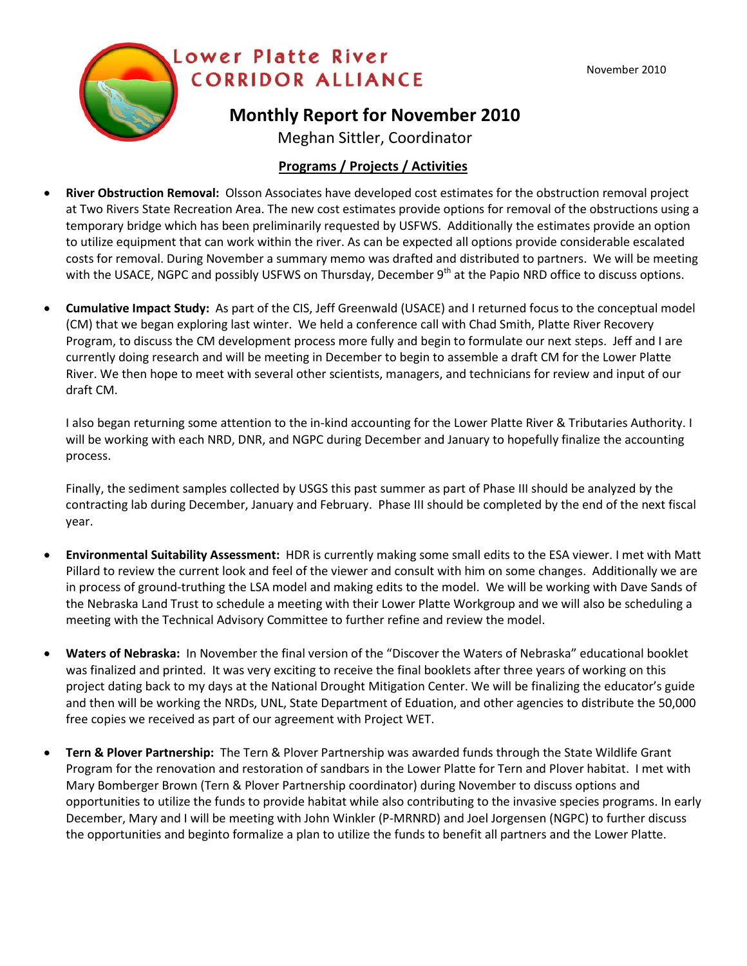

## **Monthly Report for November 2010**

Meghan Sittler, Coordinator

## **Programs / Projects / Activities**

- **River Obstruction Removal:** Olsson Associates have developed cost estimates for the obstruction removal project at Two Rivers State Recreation Area. The new cost estimates provide options for removal of the obstructions using a temporary bridge which has been preliminarily requested by USFWS. Additionally the estimates provide an option to utilize equipment that can work within the river. As can be expected all options provide considerable escalated costs for removal. During November a summary memo was drafted and distributed to partners. We will be meeting with the USACE, NGPC and possibly USFWS on Thursday, December 9<sup>th</sup> at the Papio NRD office to discuss options.
- **Cumulative Impact Study:** As part of the CIS, Jeff Greenwald (USACE) and I returned focus to the conceptual model (CM) that we began exploring last winter. We held a conference call with Chad Smith, Platte River Recovery Program, to discuss the CM development process more fully and begin to formulate our next steps. Jeff and I are currently doing research and will be meeting in December to begin to assemble a draft CM for the Lower Platte River. We then hope to meet with several other scientists, managers, and technicians for review and input of our draft CM.

I also began returning some attention to the in-kind accounting for the Lower Platte River & Tributaries Authority. I will be working with each NRD, DNR, and NGPC during December and January to hopefully finalize the accounting process.

Finally, the sediment samples collected by USGS this past summer as part of Phase III should be analyzed by the contracting lab during December, January and February. Phase III should be completed by the end of the next fiscal year.

- **Environmental Suitability Assessment:** HDR is currently making some small edits to the ESA viewer. I met with Matt Pillard to review the current look and feel of the viewer and consult with him on some changes. Additionally we are in process of ground-truthing the LSA model and making edits to the model. We will be working with Dave Sands of the Nebraska Land Trust to schedule a meeting with their Lower Platte Workgroup and we will also be scheduling a meeting with the Technical Advisory Committee to further refine and review the model.
- **Waters of Nebraska:** In November the final version of the "Discover the Waters of Nebraska" educational booklet was finalized and printed. It was very exciting to receive the final booklets after three years of working on this project dating back to my days at the National Drought Mitigation Center. We will be finalizing the educator's guide and then will be working the NRDs, UNL, State Department of Eduation, and other agencies to distribute the 50,000 free copies we received as part of our agreement with Project WET.
- **Tern & Plover Partnership:** The Tern & Plover Partnership was awarded funds through the State Wildlife Grant Program for the renovation and restoration of sandbars in the Lower Platte for Tern and Plover habitat. I met with Mary Bomberger Brown (Tern & Plover Partnership coordinator) during November to discuss options and opportunities to utilize the funds to provide habitat while also contributing to the invasive species programs. In early December, Mary and I will be meeting with John Winkler (P-MRNRD) and Joel Jorgensen (NGPC) to further discuss the opportunities and beginto formalize a plan to utilize the funds to benefit all partners and the Lower Platte.